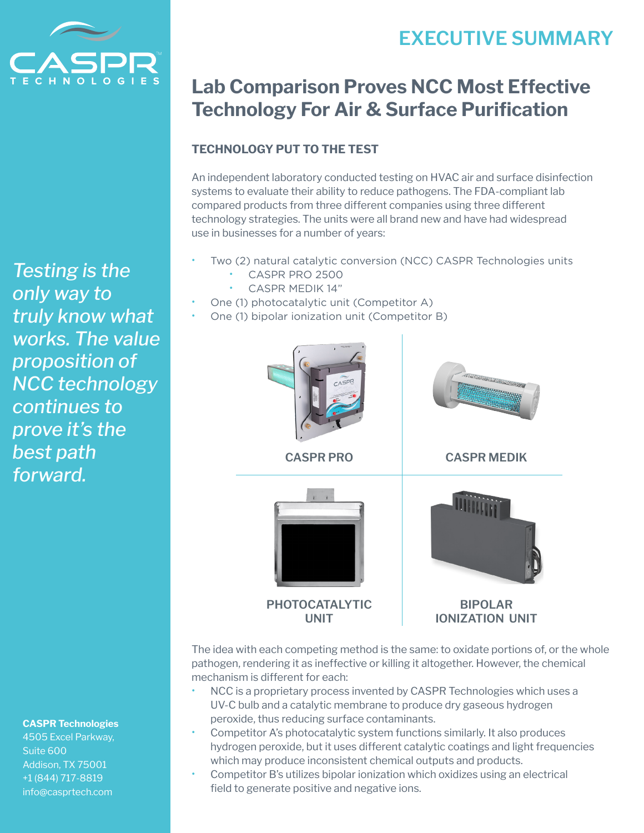# **EXECUTIVE SUMMARY**



*Testing is the only way to truly know what works. The value proposition of NCC technology continues to prove it's the best path forward.*

#### **CASPR Technologies**

4505 Excel Parkway, Suite 600 Addison, TX 75001 +1 (844) 717-8819 info@casprtech.com

## **Lab Comparison Proves NCC Most Effective Technology For Air & Surface Purification**

## **TECHNOLOGY PUT TO THE TEST**

An independent laboratory conducted testing on HVAC air and surface disinfection systems to evaluate their ability to reduce pathogens. The FDA-compliant lab compared products from three different companies using three different technology strategies. The units were all brand new and have had widespread use in businesses for a number of years:

- Two (2) natural catalytic conversion (NCC) CASPR Technologies units
	- CASPR PRO 2500
	- CASPR MEDIK 14"
- One (1) photocatalytic unit (Competitor A)
- One (1) bipolar ionization unit (Competitor B)



The idea with each competing method is the same: to oxidate portions of, or the whole pathogen, rendering it as ineffective or killing it altogether. However, the chemical mechanism is different for each:

- NCC is a proprietary process invented by CASPR Technologies which uses a UV-C bulb and a catalytic membrane to produce dry gaseous hydrogen peroxide, thus reducing surface contaminants.
- Competitor A's photocatalytic system functions similarly. It also produces hydrogen peroxide, but it uses different catalytic coatings and light frequencies which may produce inconsistent chemical outputs and products.
- Competitor B's utilizes bipolar ionization which oxidizes using an electrical field to generate positive and negative ions.